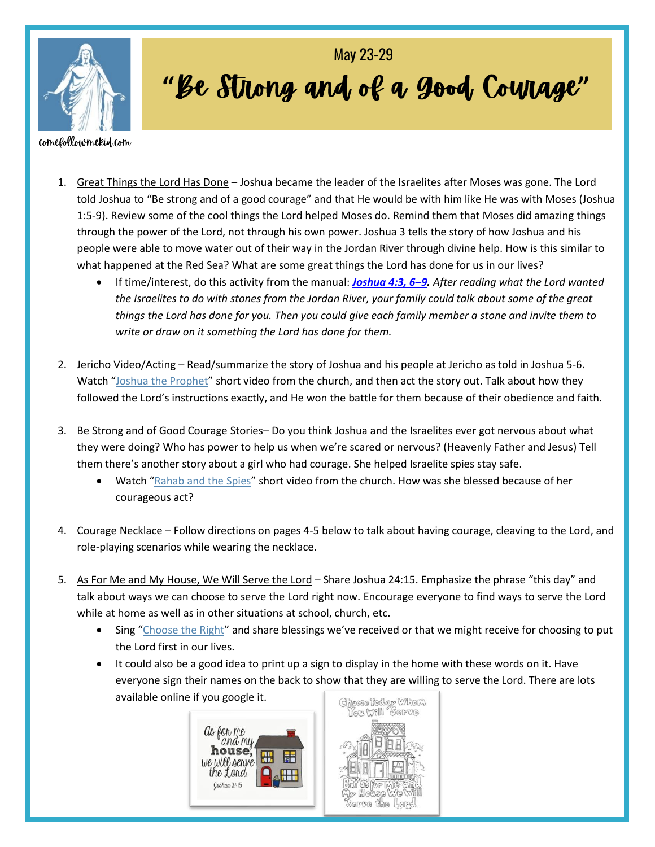

## "Be Strong and of a good, Cowage" May 23-29

## comefollowmekid.com

- 1. Great Things the Lord Has Done Joshua became the leader of the Israelites after Moses was gone. The Lord told Joshua to "Be strong and of a good courage" and that He would be with him like He was with Moses (Joshua 1:5-9). Review some of the cool things the Lord helped Moses do. Remind them that Moses did amazing things through the power of the Lord, not through his own power. Joshua 3 tells the story of how Joshua and his people were able to move water out of their way in the Jordan River through divine help. How is this similar to what happened at the Red Sea? What are some great things the Lord has done for us in our lives?
	- If time/interest, do this activity from the manual: *[Joshua](https://www.churchofjesuschrist.org/study/scriptures/ot/josh/4.3,6-9?lang=eng#p3) 4:3, 6–9. After reading what the Lord wanted the Israelites to do with stones from the Jordan River, your family could talk about some of the great things the Lord has done for you. Then you could give each family member a stone and invite them to write or draw on it something the Lord has done for them.*
- 2. Jericho Video/Acting Read/summarize the story of Joshua and his people at Jericho as told in Joshua 5-6. Watch "[Joshua the Prophet](https://abn.churchofjesuschrist.org/study/manual/old-testament-stories-2022/joshua-the-prophet?lang=eng)" short video from the church, and then act the story out. Talk about how they followed the Lord's instructions exactly, and He won the battle for them because of their obedience and faith.
- 3. Be Strong and of Good Courage Stories– Do you think Joshua and the Israelites ever got nervous about what they were doing? Who has power to help us when we're scared or nervous? (Heavenly Father and Jesus) Tell them there's another story about a girl who had courage. She helped Israelite spies stay safe.
	- Watch "Rahab [and the](https://abn.churchofjesuschrist.org/study/manual/old-testament-stories-2022/rahab-and-the-spies?lang=eng) Spies" short video from the church. How was she blessed because of her courageous act?
- 4. Courage Necklace Follow directions on pages 4-5 below to talk about having courage, cleaving to the Lord, and role-playing scenarios while wearing the necklace.
- 5. As For Me and My House, We Will Serve the Lord Share Joshua 24:15. Emphasize the phrase "this day" and talk about ways we can choose to serve the Lord right now. Encourage everyone to find ways to serve the Lord while at home as well as in other situations at school, church, etc.
	- Sing "[Choose the Right](https://www.youtube.com/watch?v=w9tnnOPWPOg)" and share blessings we've received or that we might receive for choosing to put the Lord first in our lives.
	- It could also be a good idea to print up a sign to display in the home with these words on it. Have everyone sign their names on the back to show that they are willing to serve the Lord. There are lots available online if you google it.



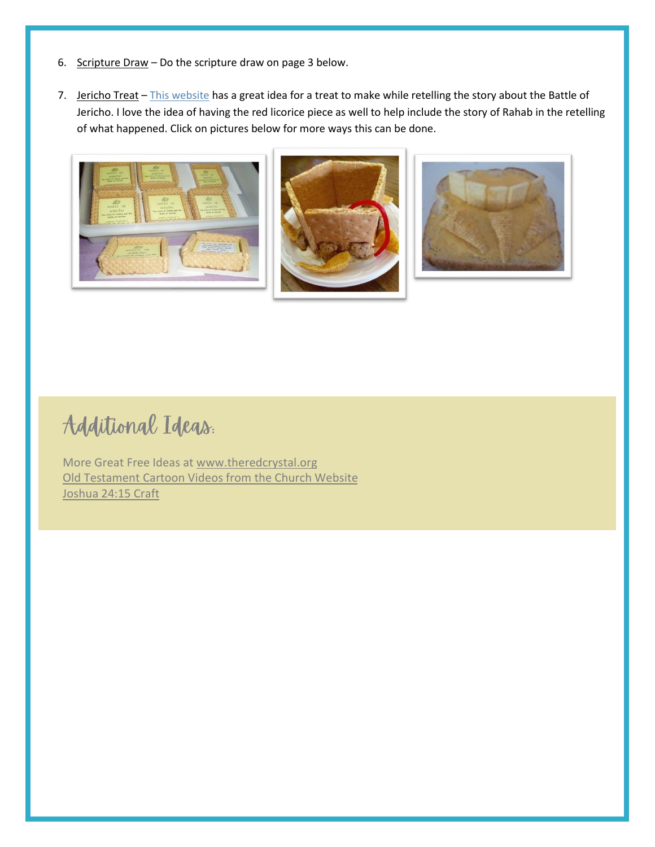- 6. Scripture Draw Do the scripture draw on page 3 below.
- 7. Jericho Treat [This website](http://3cherrycokes.blogspot.com/2011/06/joshua-and-battle-of-jericho-vbs-snack.html) has a great idea for a treat to make while retelling the story about the Battle of Jericho. I love the idea of having the red licorice piece as well to help include the story of Rahab in the retelling of what happened. Click on pictures below for more ways this can be done.







## Additional Ideas.

More Great Free Ideas at [www.theredcrystal.org](http://www.theredcrystal.org/) [Old Testament Cartoon Videos from the Church Website](https://www.churchofjesuschrist.org/study/manual/old-testament-stories-2022?lang=eng) [Joshua 24:15 Craft](https://www.thinkingkidsblog.org/as-me-my-house-we-will-serve-lord/)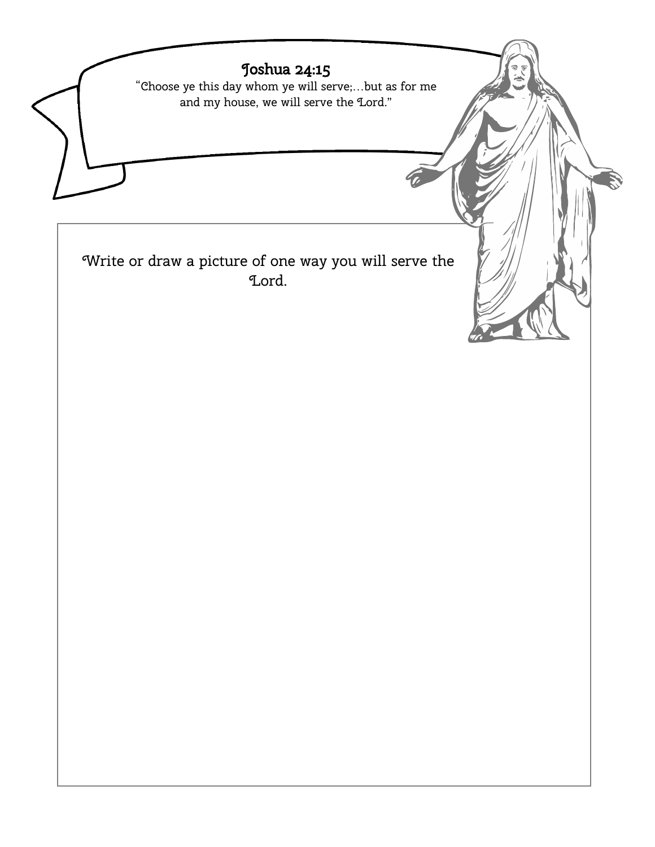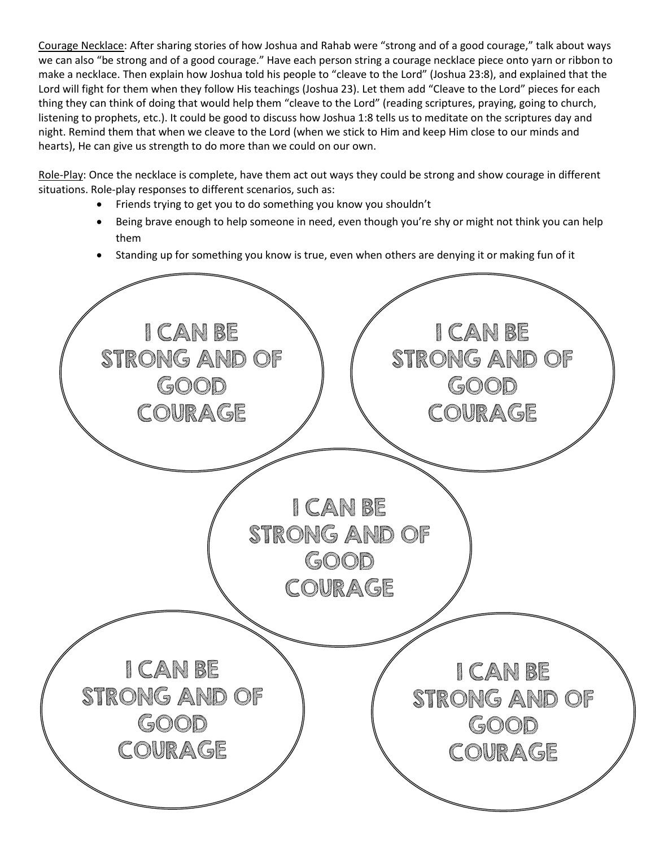Courage Necklace: After sharing stories of how Joshua and Rahab were "strong and of a good courage," talk about ways we can also "be strong and of a good courage." Have each person string a courage necklace piece onto yarn or ribbon to make a necklace. Then explain how Joshua told his people to "cleave to the Lord" (Joshua 23:8), and explained that the Lord will fight for them when they follow His teachings (Joshua 23). Let them add "Cleave to the Lord" pieces for each thing they can think of doing that would help them "cleave to the Lord" (reading scriptures, praying, going to church, listening to prophets, etc.). It could be good to discuss how Joshua 1:8 tells us to meditate on the scriptures day and night. Remind them that when we cleave to the Lord (when we stick to Him and keep Him close to our minds and hearts), He can give us strength to do more than we could on our own.

Role-Play: Once the necklace is complete, have them act out ways they could be strong and show courage in different situations. Role-play responses to different scenarios, such as:

- Friends trying to get you to do something you know you shouldn't
- Being brave enough to help someone in need, even though you're shy or might not think you can help them
- Standing up for something you know is true, even when others are denying it or making fun of it